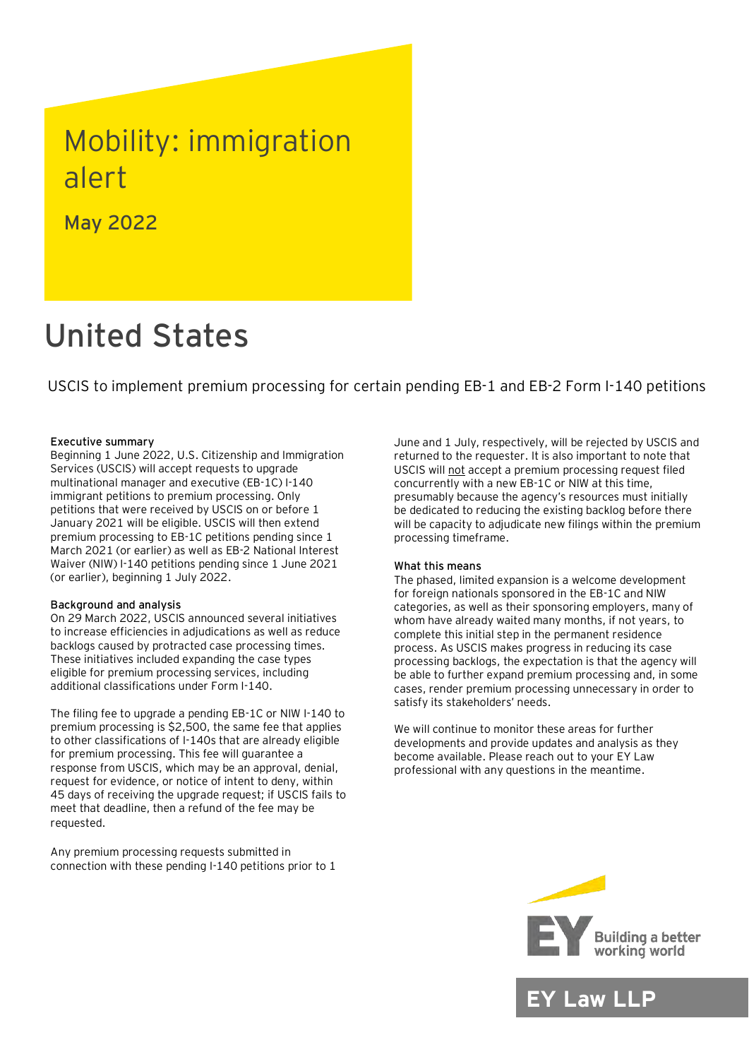## Mobility: immigration alert

May 2022

# United States

USCIS to implement premium processing for certain pending EB-1 and EB-2 Form I-140 petitions

#### Executive summary

Beginning 1 June 2022, U.S. Citizenship and Immigration Services (USCIS) will accept requests to upgrade multinational manager and executive (EB-1C) I-140 immigrant petitions to premium processing. Only petitions that were received by USCIS on or before 1 January 2021 will be eligible. USCIS will then extend premium processing to EB-1C petitions pending since 1 March 2021 (or earlier) as well as EB-2 National Interest Waiver (NIW) I-140 petitions pending since 1 June 2021 (or earlier), beginning 1 July 2022.

#### Background and analysis

On 29 March 2022, USCIS announced several initiatives to increase efficiencies in adjudications as well as reduce backlogs caused by protracted case processing times. These initiatives included expanding the case types eligible for premium processing services, including additional classifications under Form I-140.

The filing fee to upgrade a pending EB-1C or NIW I-140 to premium processing is \$2,500, the same fee that applies to other classifications of I-140s that are already eligible for premium processing. This fee will guarantee a response from USCIS, which may be an approval, denial, request for evidence, or notice of intent to deny, within 45 days of receiving the upgrade request; if USCIS fails to meet that deadline, then a refund of the fee may be requested.

Any premium processing requests submitted in connection with these pending I-140 petitions prior to 1

June and 1 July, respectively, will be rejected by USCIS and returned to the requester. It is also important to note that USCIS will not accept a premium processing request filed concurrently with a new EB-1C or NIW at this time, presumably because the agency's resources must initially be dedicated to reducing the existing backlog before there will be capacity to adjudicate new filings within the premium processing timeframe.

#### What this means

The phased, limited expansion is a welcome development for foreign nationals sponsored in the EB-1C and NIW categories, as well as their sponsoring employers, many of whom have already waited many months, if not years, to complete this initial step in the permanent residence process. As USCIS makes progress in reducing its case processing backlogs, the expectation is that the agency will be able to further expand premium processing and, in some cases, render premium processing unnecessary in order to satisfy its stakeholders' needs.

We will continue to monitor these areas for further developments and provide updates and analysis as they become available. Please reach out to your EY Law professional with any questions in the meantime.